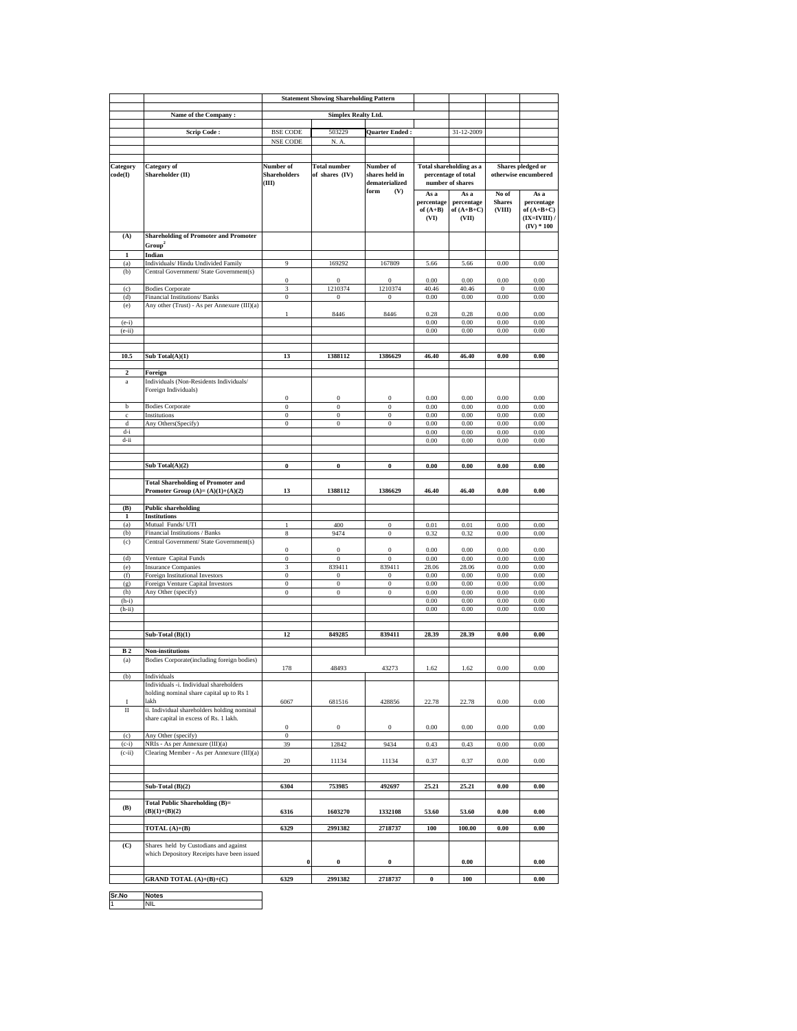|                     |                                                                                                            | <b>Statement Showing Shareholding Pattern</b> |                                      |                                                              |                                          |                                                                           |                                  |                                                                    |
|---------------------|------------------------------------------------------------------------------------------------------------|-----------------------------------------------|--------------------------------------|--------------------------------------------------------------|------------------------------------------|---------------------------------------------------------------------------|----------------------------------|--------------------------------------------------------------------|
|                     | Name of the Company:                                                                                       | <b>Simplex Realty Ltd.</b>                    |                                      |                                                              |                                          |                                                                           |                                  |                                                                    |
|                     |                                                                                                            |                                               |                                      |                                                              |                                          |                                                                           |                                  |                                                                    |
|                     | <b>Scrip Code:</b>                                                                                         | <b>BSE CODE</b><br>NSE CODE                   | 503229<br>N. A.                      | Quarter Ended:                                               |                                          | 31-12-2009                                                                |                                  |                                                                    |
|                     |                                                                                                            |                                               |                                      |                                                              |                                          |                                                                           |                                  |                                                                    |
|                     |                                                                                                            |                                               | <b>Total number</b>                  |                                                              |                                          |                                                                           |                                  | Shares pledged or                                                  |
| Category<br>code(I) | Category of<br>Shareholder (II)                                                                            | Number of<br><b>Shareholders</b><br>(III)     | of shares (IV)                       | Number of<br>shares held in<br>dematerialized<br>form<br>(V) |                                          | <b>Total shareholding as a</b><br>percentage of total<br>number of shares |                                  | otherwise encumbered                                               |
|                     |                                                                                                            |                                               |                                      |                                                              | As a<br>percentage<br>of $(A+B)$<br>(VI) | As a<br>percentage<br>of $(A+B+C)$<br>(VII)                               | No of<br><b>Shares</b><br>(VIII) | As a<br>percentage<br>of $(A+B+C)$<br>(IX=IVIII) /<br>$(IV) * 100$ |
| (A)                 | <b>Shareholding of Promoter and Promoter</b><br>Group <sup>2</sup>                                         |                                               |                                      |                                                              |                                          |                                                                           |                                  |                                                                    |
| $\mathbf{1}$<br>(a) | Indian<br>Individuals/ Hindu Undivided Family                                                              | 9                                             | 169292                               | 167809                                                       | 5.66                                     | 5.66                                                                      | 0.00                             | $0.00\,$                                                           |
| (b)                 | Central Government/ State Government(s)                                                                    |                                               |                                      |                                                              |                                          |                                                                           |                                  |                                                                    |
|                     |                                                                                                            | $\bf{0}$                                      | $\boldsymbol{0}$                     | $\mathbf{0}$                                                 | 0.00                                     | 0.00                                                                      | 0.00                             | 0.00                                                               |
| (c)<br>(d)          | <b>Bodies Corporate</b><br>Financial Institutions/ Banks                                                   | 3<br>$\boldsymbol{0}$                         | 1210374<br>$\theta$                  | 1210374<br>$\mathbf{0}$                                      | 40.46<br>0.00                            | 40.46<br>0.00                                                             | $\bf{0}$<br>0.00                 | 0.00<br>0.00                                                       |
| (e)                 | Any other (Trust) - As per Annexure (III)(a)                                                               |                                               |                                      |                                                              |                                          |                                                                           |                                  |                                                                    |
| $(e-i)$             |                                                                                                            | 1                                             | 8446                                 | 8446                                                         | 0.28<br>0.00                             | 0.28<br>0.00                                                              | 0.00<br>0.00                     | 0.00<br>0.00                                                       |
| $(e-ii)$            |                                                                                                            |                                               |                                      |                                                              | 0.00                                     | 0.00                                                                      | 0.00                             | 0.00                                                               |
|                     |                                                                                                            |                                               |                                      |                                                              |                                          |                                                                           |                                  |                                                                    |
| 10.5                | Sub Total(A)(1)                                                                                            | 13                                            | 1388112                              | 1386629                                                      | 46.40                                    | 46.40                                                                     | 0.00                             | 0.00                                                               |
| $\boldsymbol{2}$    |                                                                                                            |                                               |                                      |                                                              |                                          |                                                                           |                                  |                                                                    |
| $\rm{a}$            | Foreign<br>Individuals (Non-Residents Individuals/<br>Foreign Individuals)                                 |                                               |                                      |                                                              |                                          |                                                                           |                                  |                                                                    |
| b                   | <b>Bodies Corporate</b>                                                                                    | 0<br>$\bf{0}$                                 | $\boldsymbol{0}$<br>$\boldsymbol{0}$ | $\boldsymbol{0}$<br>$\bf{0}$                                 | 0.00<br>0.00                             | 0.00<br>0.00                                                              | 0.00<br>0.00                     | 0.00<br>0.00                                                       |
| $\mathbf c$         | Institutions                                                                                               | $\boldsymbol{0}$                              | $\boldsymbol{0}$                     | $\boldsymbol{0}$                                             | 0.00                                     | 0.00                                                                      | 0.00                             | 0.00                                                               |
| d<br>d-i            | Any Others(Specify)                                                                                        | $\bf{0}$                                      | $\bf{0}$                             | $\bf{0}$                                                     | 0.00<br>0.00                             | 0.00<br>0.00                                                              | 0.00<br>0.00                     | 0.00<br>0.00                                                       |
| d-ii                |                                                                                                            |                                               |                                      |                                                              | 0.00                                     | 0.00                                                                      | 0.00                             | 0.00                                                               |
|                     |                                                                                                            |                                               |                                      |                                                              |                                          |                                                                           |                                  |                                                                    |
|                     | Sub Total(A)(2)                                                                                            | $\boldsymbol{0}$                              | $\bf{0}$                             | $\boldsymbol{0}$                                             | 0.00                                     | 0.00                                                                      | 0.00                             | 0.00                                                               |
|                     | <b>Total Shareholding of Promoter and</b>                                                                  |                                               |                                      |                                                              |                                          |                                                                           |                                  |                                                                    |
|                     | Promoter Group $(A)=(A)(1)+(A)(2)$                                                                         | 13                                            | 1388112                              | 1386629                                                      | 46.40                                    | 46.40                                                                     | 0.00                             | 0.00                                                               |
| (B)<br>1            | <b>Public shareholding</b><br><b>Institutions</b>                                                          |                                               |                                      |                                                              |                                          |                                                                           |                                  |                                                                    |
| (a)                 | Mutual Funds/ UTI                                                                                          | 1                                             | 400                                  | 0                                                            | 0.01                                     | 0.01                                                                      | 0.00                             | 0.00                                                               |
| (b)<br>(c)          | Financial Institutions / Banks<br>Central Government/ State Government(s)                                  | 8                                             | 9474                                 | $\bf{0}$                                                     | 0.32                                     | 0.32                                                                      | 0.00                             | 0.00                                                               |
|                     |                                                                                                            | $\boldsymbol{0}$                              | $\boldsymbol{0}$                     | $\boldsymbol{0}$                                             | 0.00                                     | 0.00                                                                      | 0.00                             | 0.00                                                               |
| (d)<br>(e)          | Venture Capital Funds<br><b>Insurance Companies</b>                                                        | $\boldsymbol{0}$<br>3                         | $\bf{0}$<br>839411                   | $\bf{0}$<br>839411                                           | 0.00<br>28.06                            | 0.00<br>28.06                                                             | 0.00<br>0.00                     | 0.00<br>0.00                                                       |
| (f)                 | Foreign Institutional Investors                                                                            | $\boldsymbol{0}$                              | $\boldsymbol{0}$                     | $\boldsymbol{0}$                                             | 0.00                                     | 0.00                                                                      | 0.00                             | 0.00                                                               |
| (g)                 | Foreign Venture Capital Investors                                                                          | $\boldsymbol{0}$                              | $\bf{0}$                             | $\bf{0}$                                                     | 0.00                                     | 0.00                                                                      | 0.00                             | 0.00                                                               |
| (h)<br>$(h-i)$      | Any Other (specify)                                                                                        | $\bf{0}$                                      | $\bf{0}$                             | $\bf{0}$                                                     | 0.00<br>0.00                             | 0.00<br>0.00                                                              | 0.00<br>0.00                     | 0.00<br>0.00                                                       |
| $(h-ii)$            |                                                                                                            |                                               |                                      |                                                              | 0.00                                     | 0.00                                                                      | 0.00                             | 0.00                                                               |
|                     |                                                                                                            |                                               |                                      |                                                              |                                          |                                                                           |                                  |                                                                    |
|                     | Sub-Total (B)(1)                                                                                           | 12                                            | 849285                               | 839411                                                       | 28.39                                    | 28.39                                                                     | 0.00                             | $\boldsymbol{0.00}$                                                |
| <b>B2</b>           | Non-institutions                                                                                           |                                               |                                      |                                                              |                                          |                                                                           |                                  |                                                                    |
| (a)                 | Bodies Corporate(including foreign bodies)                                                                 | 178                                           | 48493                                | 43273                                                        | 1.62                                     | 1.62                                                                      | 0.00                             | 0.00                                                               |
| (b)                 | Individuals<br>Individuals -i. Individual shareholders<br>holding nominal share capital up to Rs 1<br>lakh |                                               |                                      |                                                              |                                          |                                                                           |                                  |                                                                    |
| I<br>$\rm II$       | ii. Individual shareholders holding nominal<br>share capital in excess of Rs. 1 lakh.                      | 6067                                          | 681516                               | 428856                                                       | 22.78                                    | 22.78                                                                     | 0.00                             | 0.00                                                               |
| (c)                 | Any Other (specify)                                                                                        | $\,0\,$<br>$\,0\,$                            | $\boldsymbol{0}$                     | $\boldsymbol{0}$                                             | 0.00                                     | $0.00\,$                                                                  | 0.00                             | 0.00                                                               |
| $(c-i)$             | NRIs - As per Annexure (III)(a)                                                                            | 39                                            | 12842                                | 9434                                                         | 0.43                                     | 0.43                                                                      | $0.00\,$                         | 0.00                                                               |
| $(c-ii)$            | Clearing Member - As per Annexure (III)(a)                                                                 | 20                                            | 11134                                | 11134                                                        | 0.37                                     | 0.37                                                                      | 0.00                             | 0.00                                                               |
|                     | Sub-Total (B)(2)                                                                                           | 6304                                          | 753985                               | 492697                                                       | 25.21                                    | 25.21                                                                     | $\boldsymbol{0.00}$              | $\boldsymbol{0.00}$                                                |
| (B)                 | <b>Total Public Shareholding (B)=</b><br>$(B)(1)+(B)(2)$                                                   | 6316                                          | 1603270                              | 1332108                                                      | 53.60                                    | 53.60                                                                     | 0.00                             | 0.00                                                               |
|                     | TOTAL (A)+(B)                                                                                              | 6329                                          | 2991382                              | 2718737                                                      | 100                                      | 100.00                                                                    | $\boldsymbol{0.00}$              | $\boldsymbol{0.00}$                                                |
| (C)                 | Shares held by Custodians and against                                                                      |                                               |                                      |                                                              |                                          |                                                                           |                                  |                                                                    |
|                     | which Depository Receipts have been issued                                                                 | $\mathbf{0}$                                  | $\pmb{0}$                            | $\pmb{0}$                                                    |                                          | 0.00                                                                      |                                  | 0.00                                                               |
|                     | GRAND TOTAL (A)+(B)+(C)                                                                                    | 6329                                          | 2991382                              | 2718737                                                      | $\pmb{0}$                                | 100                                                                       |                                  | 0.00                                                               |
|                     |                                                                                                            |                                               |                                      |                                                              |                                          |                                                                           |                                  |                                                                    |
| Sr.No               | <b>Notes</b><br>NIL                                                                                        |                                               |                                      |                                                              |                                          |                                                                           |                                  |                                                                    |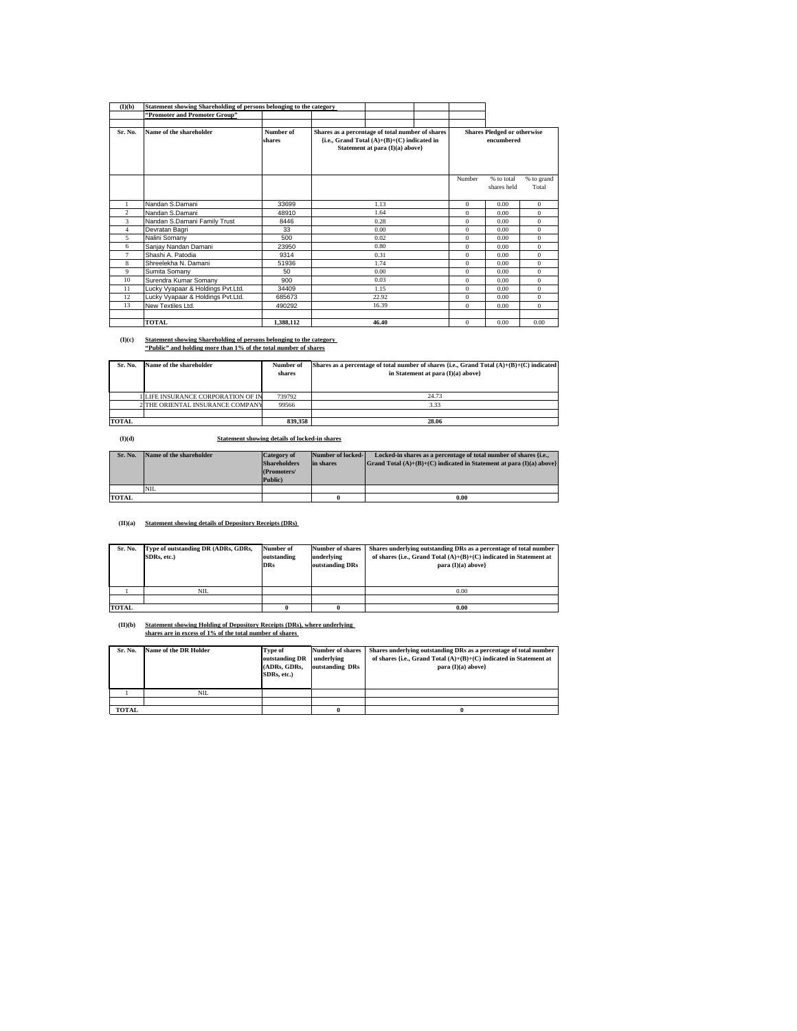| (I)(b)         | Statement showing Shareholding of persons belonging to the category |                     |                                                                                                                                      |       |                                                  |              |                           |                     |
|----------------|---------------------------------------------------------------------|---------------------|--------------------------------------------------------------------------------------------------------------------------------------|-------|--------------------------------------------------|--------------|---------------------------|---------------------|
|                | "Promoter and Promoter Group"                                       |                     |                                                                                                                                      |       |                                                  |              |                           |                     |
|                |                                                                     |                     |                                                                                                                                      |       |                                                  |              |                           |                     |
| Sr. No.        | Name of the shareholder                                             | Number of<br>shares | Shares as a percentage of total number of shares<br>{i.e., Grand Total $(A)+(B)+(C)$ indicated in<br>Statement at para (I)(a) above} |       | <b>Shares Pledged or otherwise</b><br>encumbered |              |                           |                     |
|                |                                                                     |                     |                                                                                                                                      |       |                                                  | Number       | % to total<br>shares held | % to grand<br>Total |
|                | Nandan S.Damani                                                     | 33699               |                                                                                                                                      | 1.13  |                                                  | $\Omega$     | 0.00                      | $\mathbf{0}$        |
| $\mathfrak{D}$ | Nandan S.Damani                                                     | 48910               |                                                                                                                                      | 1.64  |                                                  | $\Omega$     | 0.00                      | $\Omega$            |
| 3              | Nandan S.Damani Family Trust                                        | 8446                |                                                                                                                                      | 0.28  |                                                  | $\Omega$     | 0.00                      | $\Omega$            |
| $\overline{4}$ | Devratan Bagri                                                      | 33                  |                                                                                                                                      | 0.00  |                                                  | $\Omega$     | 0.00                      | $\Omega$            |
| 5              | Nalini Somany                                                       | 500                 |                                                                                                                                      | 0.02  |                                                  | $\Omega$     | 0.00                      | $\Omega$            |
| 6              | Sanjay Nandan Damani                                                | 23950               |                                                                                                                                      | 0.80  |                                                  | $\Omega$     | 0.00                      | $\mathbf{0}$        |
| $\overline{7}$ | Shashi A. Patodia                                                   | 9314                |                                                                                                                                      | 0.31  |                                                  | $\Omega$     | 0.00                      | $\Omega$            |
| 8              | Shreelekha N. Damani                                                | 51936               |                                                                                                                                      | 1.74  |                                                  | $\Omega$     | 0.00                      | $\Omega$            |
| 9              | Sumita Somany                                                       | 50                  |                                                                                                                                      | 0.00  |                                                  | $\Omega$     | 0.00                      | $\Omega$            |
| 10             | Surendra Kumar Somany                                               | 900                 |                                                                                                                                      | 0.03  |                                                  | $\Omega$     | 0.00                      | $\mathbf{0}$        |
| 11             | Lucky Vyapaar & Holdings Pvt.Ltd.                                   | 34409               |                                                                                                                                      | 1.15  |                                                  | $\Omega$     | 0.00                      | $\Omega$            |
| 12             | Lucky Vyapaar & Holdings Pvt.Ltd.                                   | 685673              |                                                                                                                                      | 22.92 |                                                  | $\mathbf{0}$ | 0.00                      | $\mathbf{0}$        |
| 13             | New Textiles Ltd.                                                   | 490292              |                                                                                                                                      | 16.39 |                                                  | $\Omega$     | 0.00                      | $\mathbf{0}$        |
|                |                                                                     |                     |                                                                                                                                      |       |                                                  |              |                           |                     |
|                | <b>TOTAL</b>                                                        | 1.388.112           |                                                                                                                                      | 46.40 |                                                  | $\Omega$     | 0.00                      | 0.00                |

## **(I)(c) Statement showing Shareholding of persons belonging to the category "Public" and holding more than 1% of the total number of shares**

| Sr. No.      | Name of the shareholder          | Number of<br>shares | Shares as a percentage of total number of shares {i.e., Grand Total $(A)+(B)+(C)$ indicated<br>in Statement at para (I)(a) above} |
|--------------|----------------------------------|---------------------|-----------------------------------------------------------------------------------------------------------------------------------|
|              | LIFE INSURANCE CORPORATION OF IN | 739792              | 24.73                                                                                                                             |
|              | 2 THE ORIENTAL INSURANCE COMPANY | 99566               | 3.33                                                                                                                              |
|              |                                  |                     |                                                                                                                                   |
| <b>TOTAL</b> |                                  | 839.358             | 28.06                                                                                                                             |

**(I)(d) Statement showing details of locked-in shares**

| Sr. No.      | Name of the shareholder | <b>Category of</b><br><b>Shareholders</b><br>(Promoters/<br>Public) | Number of locked-<br>in shares | Locked-in shares as a percentage of total number of shares {i.e.,<br>Grand Total $(A)+(B)+(C)$ indicated in Statement at para $(I)(a)$ above |
|--------------|-------------------------|---------------------------------------------------------------------|--------------------------------|----------------------------------------------------------------------------------------------------------------------------------------------|
|              | <b>NIL</b>              |                                                                     |                                |                                                                                                                                              |
| <b>TOTAL</b> |                         |                                                                     |                                | 0.00                                                                                                                                         |

## **(II)(a) Statement showing details of Depository Receipts (DRs)**

|              | Sr. No. | Type of outstanding DR (ADRs, GDRs,<br>SDRs. etc.) | Number of<br>outstanding<br><b>DRs</b> | <b>Number of shares</b><br>underlying<br>outstanding DRs | Shares underlying outstanding DRs as a percentage of total number<br>of shares {i.e., Grand Total $(A)+(B)+(C)$ indicated in Statement at<br>para $(I)(a)$ above} |
|--------------|---------|----------------------------------------------------|----------------------------------------|----------------------------------------------------------|-------------------------------------------------------------------------------------------------------------------------------------------------------------------|
|              |         | NIL.                                               |                                        |                                                          | 0.00                                                                                                                                                              |
|              |         |                                                    |                                        |                                                          |                                                                                                                                                                   |
| <b>TOTAL</b> |         |                                                    | 0                                      | 0.00                                                     |                                                                                                                                                                   |

**(II)(b) Statement showing Holding of Depository Receipts (DRs), where underlying shares are in excess of 1% of the total number of shares** 

| Sr. No. | Name of the DR Holder | Type of<br>outstanding DR<br>(ADRs. GDRs.<br>SDRs. etc.) | <b>Number of shares</b><br>underlying<br>outstanding DRs | Shares underlying outstanding DRs as a percentage of total number<br>of shares {i.e., Grand Total $(A)+(B)+(C)$ indicated in Statement at<br>para $(I)(a)$ above} |
|---------|-----------------------|----------------------------------------------------------|----------------------------------------------------------|-------------------------------------------------------------------------------------------------------------------------------------------------------------------|
|         | NIL                   |                                                          |                                                          |                                                                                                                                                                   |
|         |                       |                                                          |                                                          |                                                                                                                                                                   |
| TOTAL   |                       |                                                          | 0                                                        |                                                                                                                                                                   |